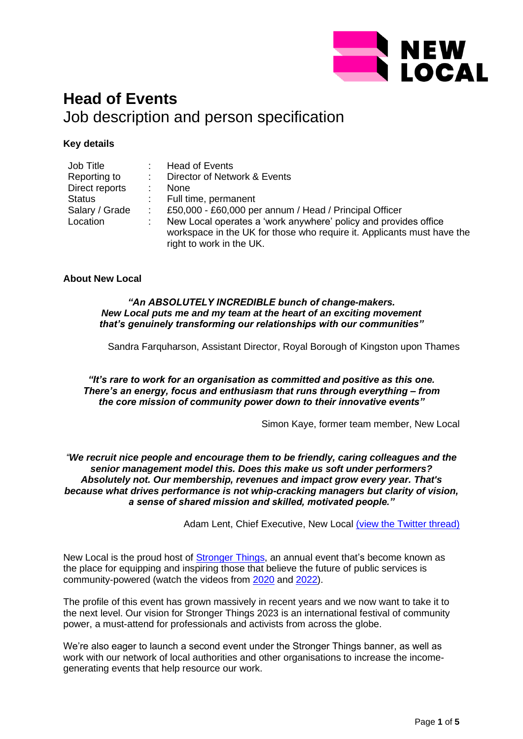

# **Head of Events** Job description and person specification

# **Key details**

| Job Title      | Head of Events                                                                                                                                                        |
|----------------|-----------------------------------------------------------------------------------------------------------------------------------------------------------------------|
| Reporting to   | Director of Network & Events                                                                                                                                          |
| Direct reports | <b>None</b>                                                                                                                                                           |
| <b>Status</b>  | Full time, permanent                                                                                                                                                  |
| Salary / Grade | £50,000 - £60,000 per annum / Head / Principal Officer                                                                                                                |
| Location       | New Local operates a 'work anywhere' policy and provides office<br>workspace in the UK for those who require it. Applicants must have the<br>right to work in the UK. |

# **About New Local**

*"An ABSOLUTELY INCREDIBLE bunch of change-makers. New Local puts me and my team at the heart of an exciting movement that's genuinely transforming our relationships with our communities"*

Sandra Farquharson, Assistant Director, Royal Borough of Kingston upon Thames

*"It's rare to work for an organisation as committed and positive as this one. There's an energy, focus and enthusiasm that runs through everything – from the core mission of community power down to their innovative events"*

Simon Kaye, former team member, New Local

*"We recruit nice people and encourage them to be friendly, caring colleagues and the senior management model this. Does this make us soft under performers? Absolutely not. Our membership, revenues and impact grow every year. That's because what drives performance is not whip-cracking managers but clarity of vision, a sense of shared mission and skilled, motivated people."*

Adam Lent, Chief Executive, New Local [\(view the Twitter thread\)](https://twitter.com/adamjlent/status/1520028648648105984?s=21&t=yKUrQQmP99DJkL2Zj6DY5Q)

New Local is the proud host of [Stronger Things,](https://www.newlocal.org.uk/events/strongerthings/) an annual event that's become known as the place for equipping and inspiring those that believe the future of public services is community-powered (watch the videos from [2020](https://youtu.be/LMxagm2pJn4) and [2022\)](https://www.newlocal.org.uk/events/strongerthings/).

The profile of this event has grown massively in recent years and we now want to take it to the next level. Our vision for Stronger Things 2023 is an international festival of community power, a must-attend for professionals and activists from across the globe.

We're also eager to launch a second event under the Stronger Things banner, as well as work with our network of local authorities and other organisations to increase the incomegenerating events that help resource our work.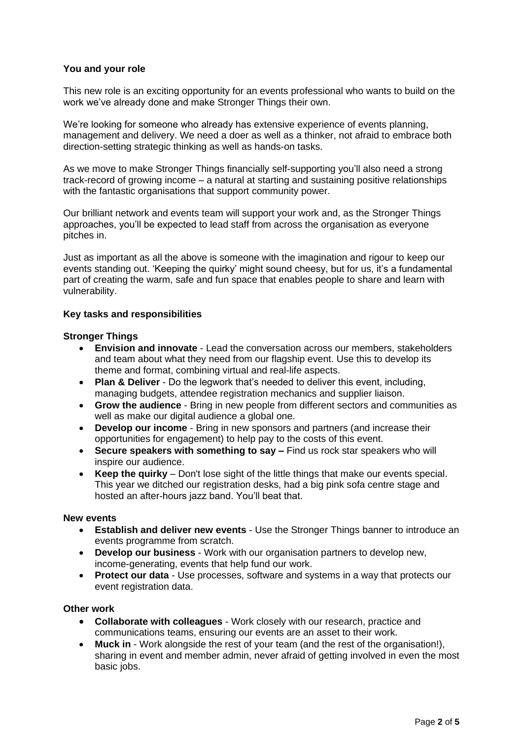# **You and your role**

This new role is an exciting opportunity for an events professional who wants to build on the work we've already done and make Stronger Things their own.

We're looking for someone who already has extensive experience of events planning, management and delivery. We need a doer as well as a thinker, not afraid to embrace both direction-setting strategic thinking as well as hands-on tasks.

As we move to make Stronger Things financially self-supporting you'll also need a strong track-record of growing income – a natural at starting and sustaining positive relationships with the fantastic organisations that support community power.

Our brilliant network and events team will support your work and, as the Stronger Things approaches, you'll be expected to lead staff from across the organisation as everyone pitches in.

Just as important as all the above is someone with the imagination and rigour to keep our events standing out. 'Keeping the quirky' might sound cheesy, but for us, it's a fundamental part of creating the warm, safe and fun space that enables people to share and learn with vulnerability.

# **Key tasks and responsibilities**

# **Stronger Things**

- **Envision and innovate**  Lead the conversation across our members, stakeholders and team about what they need from our flagship event. Use this to develop its theme and format, combining virtual and real-life aspects.
- **Plan & Deliver** Do the legwork that's needed to deliver this event, including, managing budgets, attendee registration mechanics and supplier liaison.
- **Grow the audience** Bring in new people from different sectors and communities as well as make our digital audience a global one.
- **Develop our income**  Bring in new sponsors and partners (and increase their opportunities for engagement) to help pay to the costs of this event.
- **Secure speakers with something to say –** Find us rock star speakers who will inspire our audience.
- **Keep the quirky** Don't lose sight of the little things that make our events special. This year we ditched our registration desks, had a big pink sofa centre stage and hosted an after-hours jazz band. You'll beat that.

#### **New events**

- **Establish and deliver new events** Use the Stronger Things banner to introduce an events programme from scratch.
- **Develop our business** Work with our organisation partners to develop new, income-generating, events that help fund our work.
- **Protect our data** Use processes, software and systems in a way that protects our event registration data.

#### **Other work**

- **Collaborate with colleagues**  Work closely with our research, practice and communications teams, ensuring our events are an asset to their work.
- **Muck in**  Work alongside the rest of your team (and the rest of the organisation!), sharing in event and member admin, never afraid of getting involved in even the most basic jobs.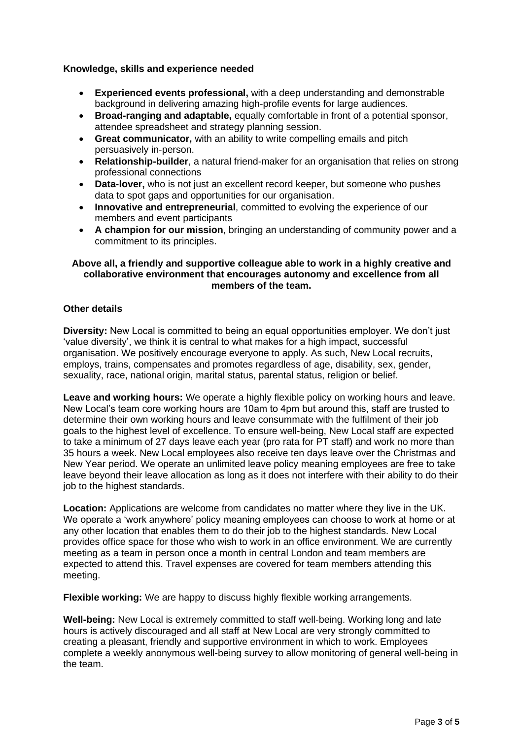# **Knowledge, skills and experience needed**

- **Experienced events professional,** with a deep understanding and demonstrable background in delivering amazing high-profile events for large audiences.
- **Broad-ranging and adaptable,** equally comfortable in front of a potential sponsor, attendee spreadsheet and strategy planning session.
- **Great communicator,** with an ability to write compelling emails and pitch persuasively in-person.
- **Relationship-builder**, a natural friend-maker for an organisation that relies on strong professional connections
- **Data-lover,** who is not just an excellent record keeper, but someone who pushes data to spot gaps and opportunities for our organisation.
- **Innovative and entrepreneurial**, committed to evolving the experience of our members and event participants
- **A champion for our mission**, bringing an understanding of community power and a commitment to its principles.

# **Above all, a friendly and supportive colleague able to work in a highly creative and collaborative environment that encourages autonomy and excellence from all members of the team.**

# **Other details**

**Diversity:** New Local is committed to being an equal opportunities employer. We don't just 'value diversity', we think it is central to what makes for a high impact, successful organisation. We positively encourage everyone to apply. As such, New Local recruits, employs, trains, compensates and promotes regardless of age, disability, sex, gender, sexuality, race, national origin, marital status, parental status, religion or belief.

**Leave and working hours:** We operate a highly flexible policy on working hours and leave. New Local's team core working hours are 10am to 4pm but around this, staff are trusted to determine their own working hours and leave consummate with the fulfilment of their job goals to the highest level of excellence. To ensure well-being, New Local staff are expected to take a minimum of 27 days leave each year (pro rata for PT staff) and work no more than 35 hours a week. New Local employees also receive ten days leave over the Christmas and New Year period. We operate an unlimited leave policy meaning employees are free to take leave beyond their leave allocation as long as it does not interfere with their ability to do their job to the highest standards.

**Location:** Applications are welcome from candidates no matter where they live in the UK. We operate a 'work anywhere' policy meaning employees can choose to work at home or at any other location that enables them to do their job to the highest standards. New Local provides office space for those who wish to work in an office environment. We are currently meeting as a team in person once a month in central London and team members are expected to attend this. Travel expenses are covered for team members attending this meeting.

**Flexible working:** We are happy to discuss highly flexible working arrangements.

**Well-being:** New Local is extremely committed to staff well-being. Working long and late hours is actively discouraged and all staff at New Local are very strongly committed to creating a pleasant, friendly and supportive environment in which to work. Employees complete a weekly anonymous well-being survey to allow monitoring of general well-being in the team.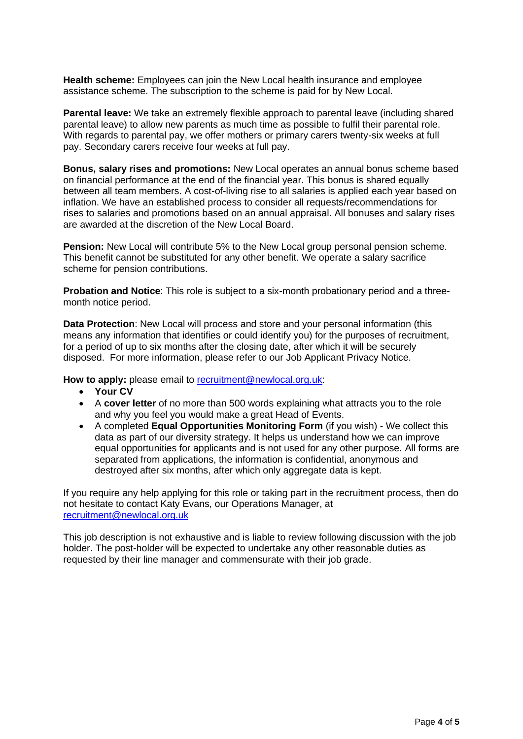**Health scheme:** Employees can join the New Local health insurance and employee assistance scheme. The subscription to the scheme is paid for by New Local.

**Parental leave:** We take an extremely flexible approach to parental leave (including shared parental leave) to allow new parents as much time as possible to fulfil their parental role. With regards to parental pay, we offer mothers or primary carers twenty-six weeks at full pay. Secondary carers receive four weeks at full pay.

**Bonus, salary rises and promotions:** New Local operates an annual bonus scheme based on financial performance at the end of the financial year. This bonus is shared equally between all team members. A cost-of-living rise to all salaries is applied each year based on inflation. We have an established process to consider all requests/recommendations for rises to salaries and promotions based on an annual appraisal. All bonuses and salary rises are awarded at the discretion of the New Local Board.

**Pension:** New Local will contribute 5% to the New Local group personal pension scheme. This benefit cannot be substituted for any other benefit. We operate a salary sacrifice scheme for pension contributions.

**Probation and Notice:** This role is subject to a six-month probationary period and a threemonth notice period.

**Data Protection**: New Local will process and store and your personal information (this means any information that identifies or could identify you) for the purposes of recruitment, for a period of up to six months after the closing date, after which it will be securely disposed. For more information, please refer to our Job Applicant Privacy Notice.

How to apply: please email to [recruitment@newlocal.org.uk:](mailto:recruitment@newlocal.org.uk)

- **Your CV**
- A **cover letter** of no more than 500 words explaining what attracts you to the role and why you feel you would make a great Head of Events.
- A completed **Equal Opportunities Monitoring Form** (if you wish) We collect this data as part of our diversity strategy. It helps us understand how we can improve equal opportunities for applicants and is not used for any other purpose. All forms are separated from applications, the information is confidential, anonymous and destroyed after six months, after which only aggregate data is kept.

If you require any help applying for this role or taking part in the recruitment process, then do not hesitate to contact Katy Evans, our Operations Manager, at [recruitment@newlocal.org.uk](mailto:recruitment@newlocal.org.uk)

This job description is not exhaustive and is liable to review following discussion with the job holder. The post-holder will be expected to undertake any other reasonable duties as requested by their line manager and commensurate with their job grade.